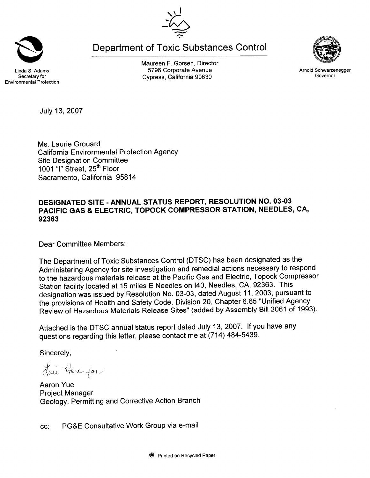**Department of Toxic Substances Control** 

Maureen F. Gorsen, Director 5796 Corporate Avenue Cypress, California 90630

July 13, 2007

Ms. Laurie Grouard **California Environmental Protection Agency Site Designation Committee** 1001 "I" Street, 25<sup>th</sup> Floor Sacramento, California 95814

### DESIGNATED SITE - ANNUAL STATUS REPORT, RESOLUTION NO. 03-03 PACIFIC GAS & ELECTRIC, TOPOCK COMPRESSOR STATION, NEEDLES, CA, 92363

Dear Committee Members:

The Department of Toxic Substances Control (DTSC) has been designated as the Administering Agency for site investigation and remedial actions necessary to respond to the hazardous materials release at the Pacific Gas and Electric, Topock Compressor Station facility located at 15 miles E Needles on I40, Needles, CA, 92363. This designation was issued by Resolution No. 03-03, dated August 11, 2003, pursuant to the provisions of Health and Safety Code, Division 20, Chapter 6.65 "Unified Agency Review of Hazardous Materials Release Sites" (added by Assembly Bill 2061 of 1993).

Attached is the DTSC annual status report dated July 13, 2007. If you have any questions regarding this letter, please contact me at (714) 484-5439.

Sincerelv.

Lai Hare for

**Aaron Yue Project Manager** Geology, Permitting and Corrective Action Branch

PG&E Consultative Work Group via e-mail CC:





Arnold Schwarzenegger Governor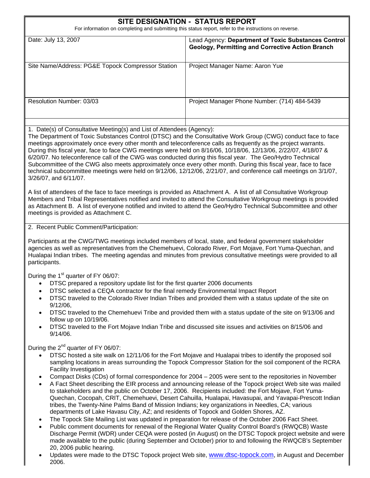| SITE DESIGNATION - STATUS REPORT<br>For information on completing and submitting this status report, refer to the instructions on reverse.                                                                                                                                                                                                                                                                                                                                                                                                                                                                                                                                                                                                                                                                                                                                                                                                                                                                                                                                                                                                                                                                     |                                                                                                                                                                                                                                                                                                                                                                                                                                                                                                                                                                                                                                                                                                                                                                                                                                                                                                                                                                                                                                                                                             |  |  |
|----------------------------------------------------------------------------------------------------------------------------------------------------------------------------------------------------------------------------------------------------------------------------------------------------------------------------------------------------------------------------------------------------------------------------------------------------------------------------------------------------------------------------------------------------------------------------------------------------------------------------------------------------------------------------------------------------------------------------------------------------------------------------------------------------------------------------------------------------------------------------------------------------------------------------------------------------------------------------------------------------------------------------------------------------------------------------------------------------------------------------------------------------------------------------------------------------------------|---------------------------------------------------------------------------------------------------------------------------------------------------------------------------------------------------------------------------------------------------------------------------------------------------------------------------------------------------------------------------------------------------------------------------------------------------------------------------------------------------------------------------------------------------------------------------------------------------------------------------------------------------------------------------------------------------------------------------------------------------------------------------------------------------------------------------------------------------------------------------------------------------------------------------------------------------------------------------------------------------------------------------------------------------------------------------------------------|--|--|
| Date: July 13, 2007                                                                                                                                                                                                                                                                                                                                                                                                                                                                                                                                                                                                                                                                                                                                                                                                                                                                                                                                                                                                                                                                                                                                                                                            | Lead Agency: Department of Toxic Substances Control<br><b>Geology, Permitting and Corrective Action Branch</b>                                                                                                                                                                                                                                                                                                                                                                                                                                                                                                                                                                                                                                                                                                                                                                                                                                                                                                                                                                              |  |  |
| Site Name/Address: PG&E Topock Compressor Station                                                                                                                                                                                                                                                                                                                                                                                                                                                                                                                                                                                                                                                                                                                                                                                                                                                                                                                                                                                                                                                                                                                                                              | Project Manager Name: Aaron Yue                                                                                                                                                                                                                                                                                                                                                                                                                                                                                                                                                                                                                                                                                                                                                                                                                                                                                                                                                                                                                                                             |  |  |
| Resolution Number: 03/03                                                                                                                                                                                                                                                                                                                                                                                                                                                                                                                                                                                                                                                                                                                                                                                                                                                                                                                                                                                                                                                                                                                                                                                       | Project Manager Phone Number: (714) 484-5439                                                                                                                                                                                                                                                                                                                                                                                                                                                                                                                                                                                                                                                                                                                                                                                                                                                                                                                                                                                                                                                |  |  |
| 1. Date(s) of Consultative Meeting(s) and List of Attendees (Agency):<br>The Department of Toxic Substances Control (DTSC) and the Consultative Work Group (CWG) conduct face to face<br>meetings approximately once every other month and teleconference calls as frequently as the project warrants.<br>During this fiscal year, face to face CWG meetings were held on 8/16/06, 10/18/06, 12/13/06, 2/22/07, 4/18/07 &<br>6/20/07. No teleconference call of the CWG was conducted during this fiscal year. The Geo/Hydro Technical<br>Subcommittee of the CWG also meets approximately once every other month. During this fiscal year, face to face<br>technical subcommittee meetings were held on 9/12/06, 12/12/06, 2/21/07, and conference call meetings on 3/1/07,<br>3/26/07, and 6/11/07.<br>A list of attendees of the face to face meetings is provided as Attachment A. A list of all Consultative Workgroup<br>Members and Tribal Representatives notified and invited to attend the Consultative Workgroup meetings is provided<br>as Attachment B. A list of everyone notified and invited to attend the Geo/Hydro Technical Subcommittee and other<br>meetings is provided as Attachment C. |                                                                                                                                                                                                                                                                                                                                                                                                                                                                                                                                                                                                                                                                                                                                                                                                                                                                                                                                                                                                                                                                                             |  |  |
| 2. Recent Public Comment/Participation:                                                                                                                                                                                                                                                                                                                                                                                                                                                                                                                                                                                                                                                                                                                                                                                                                                                                                                                                                                                                                                                                                                                                                                        |                                                                                                                                                                                                                                                                                                                                                                                                                                                                                                                                                                                                                                                                                                                                                                                                                                                                                                                                                                                                                                                                                             |  |  |
| Participants at the CWG/TWG meetings included members of local, state, and federal government stakeholder<br>agencies as well as representatives from the Chemehuevi, Colorado River, Fort Mojave, Fort Yuma-Quechan, and<br>Hualapai Indian tribes. The meeting agendas and minutes from previous consultative meetings were provided to all<br>participants.                                                                                                                                                                                                                                                                                                                                                                                                                                                                                                                                                                                                                                                                                                                                                                                                                                                 |                                                                                                                                                                                                                                                                                                                                                                                                                                                                                                                                                                                                                                                                                                                                                                                                                                                                                                                                                                                                                                                                                             |  |  |
| During the 1 <sup>st</sup> quarter of FY 06/07:<br>DTSC prepared a repository update list for the first quarter 2006 documents<br>DTSC selected a CEQA contractor for the final remedy Environmental Impact Report<br>$\bullet$<br>$\bullet$<br>9/12/06,<br>$\bullet$<br>follow up on 10/19/06.<br>$\bullet$<br>$9/14/06$ .                                                                                                                                                                                                                                                                                                                                                                                                                                                                                                                                                                                                                                                                                                                                                                                                                                                                                    | DTSC traveled to the Colorado River Indian Tribes and provided them with a status update of the site on<br>DTSC traveled to the Chemehuevi Tribe and provided them with a status update of the site on 9/13/06 and<br>DTSC traveled to the Fort Mojave Indian Tribe and discussed site issues and activities on 8/15/06 and                                                                                                                                                                                                                                                                                                                                                                                                                                                                                                                                                                                                                                                                                                                                                                 |  |  |
| During the $2^{nd}$ quarter of FY 06/07:<br>$\bullet$<br>Facility Investigation<br>$\bullet$<br>$\bullet$<br>tribes, the Twenty-Nine Palms Band of Mission Indians; key organizations in Needles, CA; various<br>departments of Lake Havasu City, AZ; and residents of Topock and Golden Shores, AZ.<br>The Topock Site Mailing List was updated in preparation for release of the October 2006 Fact Sheet.<br>$\bullet$<br>$\bullet$<br>20, 2006 public hearing.<br>$\bullet$<br>2006.                                                                                                                                                                                                                                                                                                                                                                                                                                                                                                                                                                                                                                                                                                                        | DTSC hosted a site walk on 12/11/06 for the Fort Mojave and Hualapai tribes to identify the proposed soil<br>sampling locations in areas surrounding the Topock Compressor Station for the soil component of the RCRA<br>Compact Disks (CDs) of formal correspondence for 2004 - 2005 were sent to the repositories in November<br>A Fact Sheet describing the EIR process and announcing release of the Topock project Web site was mailed<br>to stakeholders and the public on October 17, 2006. Recipients included: the Fort Mojave, Fort Yuma-<br>Quechan, Cocopah, CRIT, Chemehuevi, Desert Cahuilla, Hualapai, Havasupai, and Yavapai-Prescott Indian<br>Public comment documents for renewal of the Regional Water Quality Control Board's (RWQCB) Waste<br>Discharge Permit (WDR) under CEQA were posted (in August) on the DTSC Topock project website and were<br>made available to the public (during September and October) prior to and following the RWQCB's September<br>Updates were made to the DTSC Topock project Web site, www.dtsc-topock.com, in August and December |  |  |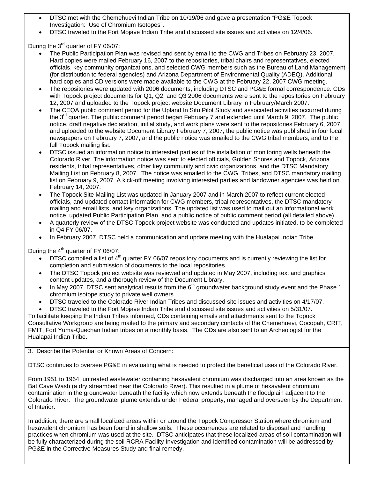- DTSC met with the Chemehuevi Indian Tribe on 10/19/06 and gave a presentation "PG&E Topock Investigation: Use of Chromium Isotopes".
- DTSC traveled to the Fort Mojave Indian Tribe and discussed site issues and activities on 12/4/06.

During the 3<sup>rd</sup> quarter of FY 06/07:

- The Public Participation Plan was revised and sent by email to the CWG and Tribes on February 23, 2007. Hard copies were mailed February 16, 2007 to the repositories, tribal chairs and representatives, elected officials, key community organizations, and selected CWG members such as the Bureau of Land Management (for distribution to federal agencies) and Arizona Department of Environmental Quality (ADEQ). Additional hard copies and CD versions were made available to the CWG at the February 22, 2007 CWG meeting.
- The repositories were updated with 2006 documents, including DTSC and PG&E formal correspondence. CDs with Topock project documents for Q1, Q2, and Q3 2006 documents were sent to the repositories on February 12, 2007 and uploaded to the Topock project website Document Library in February/March 2007.
- The CEQA public comment period for the Upland In Situ Pilot Study and associated activities occurred during the 3<sup>rd</sup> quarter. The public comment period began February 7 and extended until March 9, 2007. The public notice, draft negative declaration, initial study, and work plans were sent to the repositories February 6, 2007 and uploaded to the website Document Library February 7, 2007; the public notice was published in four local newspapers on February 7, 2007, and the public notice was emailed to the CWG tribal members, and to the full Topock mailing list.
- DTSC issued an information notice to interested parties of the installation of monitoring wells beneath the Colorado River. The information notice was sent to elected officials, Golden Shores and Topock, Arizona residents, tribal representatives, other key community and civic organizations, and the DTSC Mandatory Mailing List on February 8, 2007. The notice was emailed to the CWG, Tribes, and DTSC mandatory mailing list on February 9, 2007. A kick-off meeting involving interested parties and landowner agencies was held on February 14, 2007.
- The Topock Site Mailing List was updated in January 2007 and in March 2007 to reflect current elected officials, and updated contact information for CWG members, tribal representatives, the DTSC mandatory mailing and email lists, and key organizations. The updated list was used to mail out an informational work notice, updated Public Participation Plan, and a public notice of public comment period (all detailed above).
- A quarterly review of the DTSC Topock project website was conducted and updates initiated, to be completed in Q4 FY 06/07.
- In February 2007, DTSC held a communication and update meeting with the Hualapai Indian Tribe.

During the  $4<sup>th</sup>$  quarter of FY 06/07:

- DTSC compiled a list of 4<sup>th</sup> quarter FY 06/07 repository documents and is currently reviewing the list for completion and submission of documents to the local repositories.
- The DTSC Topock project website was reviewed and updated in May 2007, including text and graphics content updates, and a thorough review of the Document Library.
- In May 2007, DTSC sent analytical results from the  $6<sup>th</sup>$  groundwater background study event and the Phase 1 chromium isotope study to private well owners.
- DTSC traveled to the Colorado River Indian Tribes and discussed site issues and activities on 4/17/07.
- DTSC traveled to the Fort Mojave Indian Tribe and discussed site issues and activities on 5/31/07.

To facilitate keeping the Indian Tribes informed, CDs containing emails and attachments sent to the Topock Consultative Workgroup are being mailed to the primary and secondary contacts of the Chemehuevi, Cocopah, CRIT, FMIT, Fort Yuma-Quechan Indian tribes on a monthly basis. The CDs are also sent to an Archeologist for the Hualapai Indian Tribe.

3. Describe the Potential or Known Areas of Concern:

DTSC continues to oversee PG&E in evaluating what is needed to protect the beneficial uses of the Colorado River.

From 1951 to 1964, untreated wastewater containing hexavalent chromium was discharged into an area known as the Bat Cave Wash (a dry streambed near the Colorado River). This resulted in a plume of hexavalent chromium contamination in the groundwater beneath the facility which now extends beneath the floodplain adjacent to the Colorado River. The groundwater plume extends under Federal property, managed and overseen by the Department of Interior.

In addition, there are small localized areas within or around the Topock Compressor Station where chromium and hexavalent chromium has been found in shallow soils. These occurrences are related to disposal and handling practices when chromium was used at the site. DTSC anticipates that these localized areas of soil contamination will be fully characterized during the soil RCRA Facility Investigation and identified contamination will be addressed by PG&E in the Corrective Measures Study and final remedy.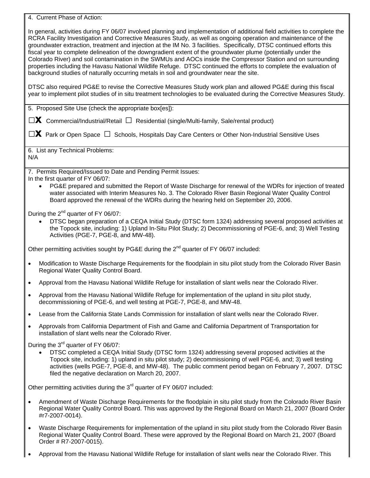4. Current Phase of Action:

In general, activities during FY 06/07 involved planning and implementation of additional field activities to complete the RCRA Facility Investigation and Corrective Measures Study, as well as ongoing operation and maintenance of the groundwater extraction, treatment and injection at the IM No. 3 facilities. Specifically, DTSC continued efforts this fiscal year to complete delineation of the downgradient extent of the groundwater plume (potentially under the Colorado River) and soil contamination in the SWMUs and AOCs inside the Compressor Station and on surrounding properties including the Havasu National Wildlife Refuge. DTSC continued the efforts to complete the evaluation of background studies of naturally occurring metals in soil and groundwater near the site.

DTSC also required PG&E to revise the Corrective Measures Study work plan and allowed PG&E during this fiscal year to implement pilot studies of in situ treatment technologies to be evaluated during the Corrective Measures Study.

5. Proposed Site Use (check the appropriate box[es]):

**□x** Commercial/Industrial/Retail **□** Residential (single/Multi-family, Sale/rental product)

**□x** Park or Open Space **□** Schools, Hospitals Day Care Centers or Other Non-Industrial Sensitive Uses

6. List any Technical Problems: N/A

7. Permits Required/Issued to Date and Pending Permit Issues: In the first quarter of FY 06/07:

• PG&E prepared and submitted the Report of Waste Discharge for renewal of the WDRs for injection of treated water associated with Interim Measures No. 3. The Colorado River Basin Regional Water Quality Control Board approved the renewal of the WDRs during the hearing held on September 20, 2006.

During the  $2^{nd}$  quarter of FY 06/07:

• DTSC began preparation of a CEQA Initial Study (DTSC form 1324) addressing several proposed activities at the Topock site, including: 1) Upland In-Situ Pilot Study; 2) Decommissioning of PGE-6, and; 3) Well Testing Activities (PGE-7, PGE-8, and MW-48).

Other permitting activities sought by PG&E during the  $2^{nd}$  quarter of FY 06/07 included:

- Modification to Waste Discharge Requirements for the floodplain in situ pilot study from the Colorado River Basin Regional Water Quality Control Board.
- Approval from the Havasu National Wildlife Refuge for installation of slant wells near the Colorado River.
- Approval from the Havasu National Wildlife Refuge for implementation of the upland in situ pilot study, decommissioning of PGE-6, and well testing at PGE-7, PGE-8, and MW-48.
- Lease from the California State Lands Commission for installation of slant wells near the Colorado River.
- Approvals from California Department of Fish and Game and California Department of Transportation for installation of slant wells near the Colorado River.

During the  $3<sup>rd</sup>$  quarter of FY 06/07:

• DTSC completed a CEQA Initial Study (DTSC form 1324) addressing several proposed activities at the Topock site, including: 1) upland in situ pilot study; 2) decommissioning of well PGE-6, and; 3) well testing activities (wells PGE-7, PGE-8, and MW-48). The public comment period began on February 7, 2007. DTSC filed the negative declaration on March 20, 2007.

Other permitting activities during the  $3<sup>rd</sup>$  quarter of FY 06/07 included:

- Amendment of Waste Discharge Requirements for the floodplain in situ pilot study from the Colorado River Basin Regional Water Quality Control Board. This was approved by the Regional Board on March 21, 2007 (Board Order #r7-2007-0014).
- Waste Discharge Requirements for implementation of the upland in situ pilot study from the Colorado River Basin Regional Water Quality Control Board. These were approved by the Regional Board on March 21, 2007 (Board Order # R7-2007-0015).
- Approval from the Havasu National Wildlife Refuge for installation of slant wells near the Colorado River. This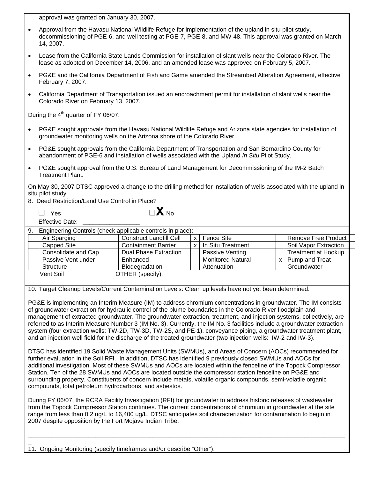approval was granted on January 30, 2007.

| Approval from the Havasu National Wildlife Refuge for implementation of the upland in situ pilot study,   |
|-----------------------------------------------------------------------------------------------------------|
| decommissioning of PGE-6, and well testing at PGE-7, PGE-8, and MW-48. This approval was granted on March |
| 14. 2007.                                                                                                 |
|                                                                                                           |

- Lease from the California State Lands Commission for installation of slant wells near the Colorado River. The lease as adopted on December 14, 2006, and an amended lease was approved on February 5, 2007.
- PG&E and the California Department of Fish and Game amended the Streambed Alteration Agreement, effective February 7, 2007.
- California Department of Transportation issued an encroachment permit for installation of slant wells near the Colorado River on February 13, 2007.

During the  $4<sup>th</sup>$  quarter of FY 06/07:

- PG&E sought approvals from the Havasu National Wildlife Refuge and Arizona state agencies for installation of groundwater monitoring wells on the Arizona shore of the Colorado River.
- PG&E sought approvals from the California Department of Transportation and San Bernardino County for abandonment of PGE-6 and installation of wells associated with the Upland *In Situ* Pilot Study.
- PG&E sought approval from the U.S. Bureau of Land Management for Decommissioning of the IM-2 Batch Treatment Plant.

On May 30, 2007 DTSC approved a change to the drilling method for installation of wells associated with the upland in situ pilot study.

8. Deed Restriction/Land Use Control in Place?

|--|

 **□** Yes **□X** No

Effective Date:

|                               | Engineering Controls (check applicable controls in place):<br>9. |                                |                |                          |  |                            |
|-------------------------------|------------------------------------------------------------------|--------------------------------|----------------|--------------------------|--|----------------------------|
|                               | Air Sparging                                                     | <b>Construct Landfill Cell</b> | $\mathsf{x}$   | Fence Site               |  | Remove Free Product I      |
|                               | Capped Site                                                      | <b>Containment Barrier</b>     | x <sub>1</sub> | In Situ Treatment        |  | Soil Vapor Extraction      |
|                               | Consolidate and Cap                                              | Dual Phase Extraction          |                | Passive Venting          |  | <b>Treatment at Hookup</b> |
|                               | Passive Vent under                                               | Enhanced                       |                | <b>Monitored Natural</b> |  | x Pump and Treat           |
|                               | Structure                                                        | Biodegradation                 |                | Attenuation              |  | Groundwater                |
| Vent Soil<br>OTHER (specify): |                                                                  |                                |                |                          |  |                            |

10. Target Cleanup Levels/Current Contamination Levels: Clean up levels have not yet been determined.

PG&E is implementing an Interim Measure (IM) to address chromium concentrations in groundwater. The IM consists of groundwater extraction for hydraulic control of the plume boundaries in the Colorado River floodplain and management of extracted groundwater. The groundwater extraction, treatment, and injection systems, collectively, are referred to as Interim Measure Number 3 (IM No. 3). Currently, the IM No. 3 facilities include a groundwater extraction system (four extraction wells: TW-2D, TW-3D, TW-2S, and PE-1), conveyance piping, a groundwater treatment plant, and an injection well field for the discharge of the treated groundwater (two injection wells: IW-2 and IW-3).

DTSC has identified 19 Solid Waste Management Units (SWMUs), and Areas of Concern (AOCs) recommended for further evaluation in the Soil RFI. In addition, DTSC has identified 9 previously closed SWMUs and AOCs for additional investigation. Most of these SWMUs and AOCs are located within the fenceline of the Topock Compressor Station. Ten of the 28 SWMUs and AOCs are located outside the compressor station fenceline on PG&E and surrounding property. Constituents of concern include metals, volatile organic compounds, semi-volatile organic compounds, total petroleum hydrocarbons, and asbestos.

During FY 06/07, the RCRA Facility Investigation (RFI) for groundwater to address historic releases of wastewater from the Topock Compressor Station continues. The current concentrations of chromium in groundwater at the site range from less than 0.2 ug/L to 16,400 ug/L. DTSC anticipates soil characterization for contamination to begin in 2007 despite opposition by the Fort Mojave Indian Tribe.

\_\_\_\_\_\_\_\_\_\_\_\_\_\_\_\_\_\_\_\_\_\_\_\_\_\_\_\_\_\_\_\_\_\_\_\_\_\_\_\_\_\_\_\_\_\_\_\_\_\_\_\_\_\_\_\_\_\_\_\_\_\_\_\_\_\_\_\_\_\_\_\_\_\_\_\_\_\_\_\_\_\_\_\_\_\_\_\_\_\_\_\_\_\_

 $\overline{a}$ 11. Ongoing Monitoring (specify timeframes and/or describe "Other"):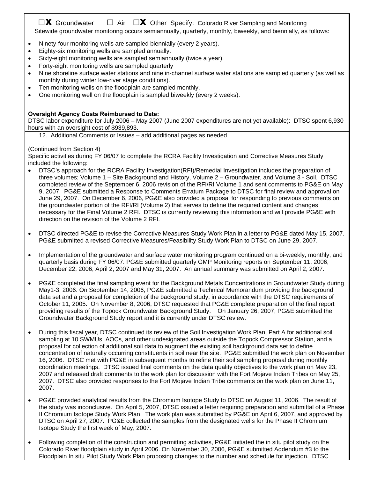# **□x** Groundwater **□** Air **□x** Other Specify: Colorado River Sampling and Monitoring

Sitewide groundwater monitoring occurs semiannually, quarterly, monthly, biweekly, and biennially, as follows:

- Ninety-four monitoring wells are sampled biennially (every 2 years).
- Eighty-six monitoring wells are sampled annually.
- Sixty-eight monitoring wells are sampled semiannually (twice a year).
- Forty-eight monitoring wells are sampled quarterly
- Nine shoreline surface water stations and nine in-channel surface water stations are sampled quarterly (as well as monthly during winter low-river stage conditions).
- Ten monitoring wells on the floodplain are sampled monthly.
- One monitoring well on the floodplain is sampled biweekly (every 2 weeks).

#### **Oversight Agency Costs Reimbursed to Date:**

DTSC labor expenditure for July 2006 – May 2007 (June 2007 expenditures are not yet available): DTSC spent 6,930 hours with an oversight cost of \$939,893.

12. Additional Comments or Issues – add additional pages as needed

#### (Continued from Section 4)

Specific activities during FY 06/07 to complete the RCRA Facility Investigation and Corrective Measures Study included the following:

- DTSC's approach for the RCRA Facility Investigation(RFI)/Remedial Investigation includes the preparation of three volumes; Volume 1 – Site Background and History, Volume 2 – Groundwater, and Volume 3 - Soil. DTSC completed review of the September 6, 2006 revision of the RFI/RI Volume 1 and sent comments to PG&E on May 9, 2007. PG&E submitted a Response to Comments Erratum Package to DTSC for final review and approval on June 29, 2007. On December 6, 2006, PG&E also provided a proposal for responding to previous comments on the groundwater portion of the RFI/RI (Volume 2) that serves to define the required content and changes necessary for the Final Volume 2 RFI. DTSC is currently reviewing this information and will provide PG&E with direction on the revision of the Volume 2 RFI.
- DTSC directed PG&E to revise the Corrective Measures Study Work Plan in a letter to PG&E dated May 15, 2007. PG&E submitted a revised Corrective Measures/Feasibility Study Work Plan to DTSC on June 29, 2007.
- Implementation of the groundwater and surface water monitoring program continued on a bi-weekly, monthly, and quarterly basis during FY 06/07. PG&E submitted quarterly GMP Monitoring reports on September 11, 2006, December 22, 2006, April 2, 2007 and May 31, 2007. An annual summary was submitted on April 2, 2007.
- PG&E completed the final sampling event for the Background Metals Concentrations in Groundwater Study during May1-3, 2006. On September 14, 2006, PG&E submitted a Technical Memorandum providing the background data set and a proposal for completion of the background study, in accordance with the DTSC requirements of October 11, 2005. On November 8, 2006, DTSC requested that PG&E complete preparation of the final report providing results of the Topock Groundwater Background Study. On January 26, 2007, PG&E submitted the Groundwater Background Study report and it is currently under DTSC review.
- During this fiscal year, DTSC continued its review of the Soil Investigation Work Plan, Part A for additional soil sampling at 10 SWMUs, AOCs, and other undesignated areas outside the Topock Compressor Station, and a proposal for collection of additional soil data to augment the existing soil background data set to define concentration of naturally occurring constituents in soil near the site. PG&E submitted the work plan on November 16, 2006. DTSC met with PG&E in subsequent months to refine their soil sampling proposal during monthly coordination meetings. DTSC issued final comments on the data quality objectives to the work plan on May 23, 2007 and released draft comments to the work plan for discussion with the Fort Mojave Indian Tribes on May 25, 2007. DTSC also provided responses to the Fort Mojave Indian Tribe comments on the work plan on June 11, 2007.
- PG&E provided analytical results from the Chromium Isotope Study to DTSC on August 11, 2006. The result of the study was inconclusive. On April 5, 2007, DTSC issued a letter requiring preparation and submittal of a Phase II Chromium Isotope Study Work Plan. The work plan was submitted by PG&E on April 6, 2007, and approved by DTSC on April 27, 2007. PG&E collected the samples from the designated wells for the Phase II Chromium Isotope Study the first week of May, 2007.
- Following completion of the construction and permitting activities, PG&E initiated the in situ pilot study on the Colorado River floodplain study in April 2006. On November 30, 2006, PG&E submitted Addendum #3 to the Floodplain In situ Pilot Study Work Plan proposing changes to the number and schedule for injection. DTSC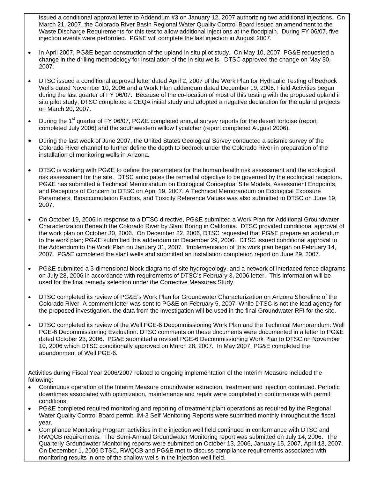issued a conditional approval letter to Addendum #3 on January 12, 2007 authorizing two additional injections. On March 21, 2007, the Colorado River Basin Regional Water Quality Control Board issued an amendment to the Waste Discharge Requirements for this test to allow additional injections at the floodplain. During FY 06/07, five injection events were performed. PG&E will complete the last injection in August 2007.

- In April 2007, PG&E began construction of the upland in situ pilot study. On May 10, 2007, PG&E requested a change in the drilling methodology for installation of the in situ wells. DTSC approved the change on May 30, 2007.
- DTSC issued a conditional approval letter dated April 2, 2007 of the Work Plan for Hydraulic Testing of Bedrock Wells dated November 10, 2006 and a Work Plan addendum dated December 19, 2006. Field Activities began during the last quarter of FY 06/07. Because of the co-location of most of this testing with the proposed upland in situ pilot study, DTSC completed a CEQA initial study and adopted a negative declaration for the upland projects on March 20, 2007.
- During the 1<sup>st</sup> quarter of FY 06/07, PG&E completed annual survey reports for the desert tortoise (report completed July 2006) and the southwestern willow flycatcher (report completed August 2006).
- During the last week of June 2007, the United States Geological Survey conducted a seismic survey of the Colorado River channel to further define the depth to bedrock under the Colorado River in preparation of the installation of monitoring wells in Arizona.
- DTSC is working with PG&E to define the parameters for the human health risk assessment and the ecological risk assessment for the site. DTSC anticipates the remedial objective to be governed by the ecological receptors. PG&E has submitted a Technical Memorandum on Ecological Conceptual Site Models, Assessment Endpoints, and Receptors of Concern to DTSC on April 19, 2007. A Technical Memorandum on Ecological Exposure Parameters, Bioaccumulation Factors, and Toxicity Reference Values was also submitted to DTSC on June 19, 2007.
- On October 19, 2006 in response to a DTSC directive, PG&E submitted a Work Plan for Additional Groundwater Characterization Beneath the Colorado River by Slant Boring in California. DTSC provided conditional approval of the work plan on October 30, 2006. On December 22, 2006, DTSC requested that PG&E prepare an addendum to the work plan; PG&E submitted this addendum on December 29, 2006. DTSC issued conditional approval to the Addendum to the Work Plan on January 31, 2007. Implementation of this work plan began on February 14, 2007. PG&E completed the slant wells and submitted an installation completion report on June 29, 2007.
- PG&E submitted a 3-dimensional block diagrams of site hydrogeology, and a network of interlaced fence diagrams on July 28, 2006 in accordance with requirements of DTSC's February 3, 2006 letter. This information will be used for the final remedy selection under the Corrective Measures Study.
- DTSC completed its review of PG&E's Work Plan for Groundwater Characterization on Arizona Shoreline of the Colorado River. A comment letter was sent to PG&E on February 5, 2007. While DTSC is not the lead agency for the proposed investigation, the data from the investigation will be used in the final Groundwater RFI for the site.
- DTSC completed its review of the Well PGE-6 Decommissioning Work Plan and the Technical Memorandum: Well PGE-6 Decommissioning Evaluation. DTSC comments on these documents were documented in a letter to PG&E dated October 23, 2006. PG&E submitted a revised PGE-6 Decommissioning Work Plan to DTSC on November 10, 2006 which DTSC conditionally approved on March 28, 2007. In May 2007, PG&E completed the abandonment of Well PGE-6.

Activities during Fiscal Year 2006/2007 related to ongoing implementation of the Interim Measure included the following:

- Continuous operation of the Interim Measure groundwater extraction, treatment and injection continued. Periodic downtimes associated with optimization, maintenance and repair were completed in conformance with permit conditions.
- PG&E completed required monitoring and reporting of treatment plant operations as required by the Regional Water Quality Control Board permit. IM-3 Self Monitoring Reports were submitted monthly throughout the fiscal year.
- Compliance Monitoring Program activities in the injection well field continued in conformance with DTSC and RWQCB requirements. The Semi-Annual Groundwater Monitoring report was submitted on July 14, 2006. The Quarterly Groundwater Monitoring reports were submitted on October 13, 2006, January 15, 2007, April 13, 2007. On December 1, 2006 DTSC, RWQCB and PG&E met to discuss compliance requirements associated with monitoring results in one of the shallow wells in the injection well field.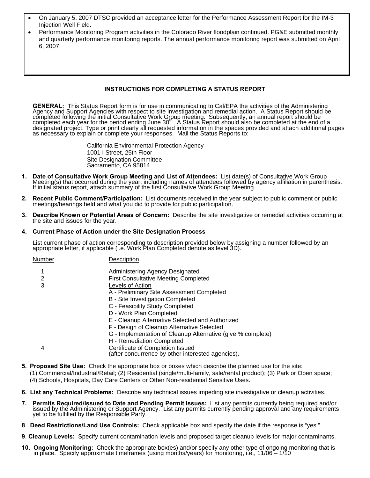| • On January 5, 2007 DTSC provided an acceptance letter for the Performance Assessment Report for the IM-3 |
|------------------------------------------------------------------------------------------------------------|
| Injection Well Field.                                                                                      |

• Performance Monitoring Program activities in the Colorado River floodplain continued. PG&E submitted monthly and quarterly performance monitoring reports. The annual performance monitoring report was submitted on April 6, 2007.

#### **INSTRUCTIONS FOR COMPLETING A STATUS REPORT**

**GENERAL:** This Status Report form is for use in communicating to Cal/EPA the activities of the Administering<br>Agency and Support Agencies with respect to site investigation and remedial action. A Status Report should be compléted following the initial Consultative Work Group meeting. Subsequently, an annual report should be<br>completed each year for the period ending June 30" . A Status Report should also be completed at the end of a<br>desig

> California Environmental Protection Agency 1001 I Street, 25th Floor Site Designation Committee Sacramento, CA 95814

- 1. Date of Consultative Work Group Meeting and List of Attendees: List date(s) of Consultative Work Group<br>Meeting(s) that occurred during the year, including names of attendees followed by agency affiliation in parenthesis
- **2. Recent Public Comment/Participation:** List documents received in the year subject to public comment or public meetings/hearings held and what you did to provide for public participation.
- **3. Describe Known or Potential Areas of Concern:** Describe the site investigative or remedial activities occurring at the site and issues for the year.

#### **4. Current Phase of Action under the Site Designation Process**

List current phase of action corresponding to description provided below by assigning a number followed by an appropriate letter, if applicable (i.e. Work Plan Completed denote as level 3D).

| Number | Description                                                 |
|--------|-------------------------------------------------------------|
| 1      | Administering Agency Designated                             |
| 2      | <b>First Consultative Meeting Completed</b>                 |
| 3      | Levels of Action                                            |
|        | A - Preliminary Site Assessment Completed                   |
|        | B - Site Investigation Completed                            |
|        | C - Feasibility Study Completed                             |
|        | D - Work Plan Completed                                     |
|        | E - Cleanup Alternative Selected and Authorized             |
|        | F - Design of Cleanup Alternative Selected                  |
|        | G - Implementation of Cleanup Alternative (give % complete) |
|        | H - Remediation Completed                                   |
| 4      | Certificate of Completion Issued                            |
|        | (after concurrence by other interested agencies).           |
|        |                                                             |

- **5. Proposed Site Use:** Check the appropriate box or boxes which describe the planned use for the site:
	- (1) Commercial/Industrial/Retail; (2) Residential (single/multi-family, sale/rental product); (3) Park or Open space; (4) Schools, Hospitals, Day Care Centers or Other Non-residential Sensitive Uses.
- **6. List any Technical Problems:** Describe any technical issues impeding site investigative or cleanup activities.
- 7. Permits Required/Issued to Date and Pending Permit Issues: List any permits currently being required and/or<br>issued by the Administering or Support Agency. List any permits currently pending approval and any requirements
- **8**. **Deed Restrictions/Land Use Controls:** Check applicable box and specify the date if the response is "yes."
- **9**. **Cleanup Levels:** Specify current contamination levels and proposed target cleanup levels for major contaminants.
- **10. Ongoing Monitoring:** Check the appropriate box(es) and/or specify any other type of ongoing monitoring that is in place. Specify approximate timeframes (using months/years) for monitoring, i.e., 11/06 1/10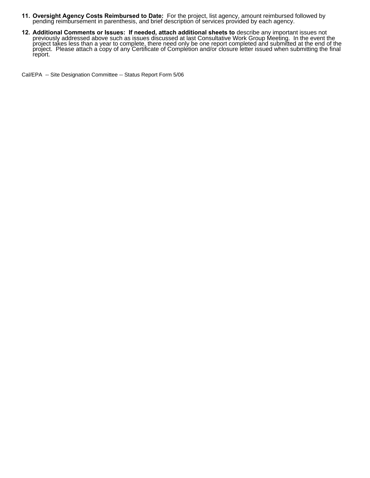- **11. Oversight Agency Costs Reimbursed to Date:** For the project, list agency, amount reimbursed followed by pending reimbursement in parenthesis, and brief description of services provided by each agency.
- 12. Additional Comments or Issues: If needed, attach additional sheets to describe any important issues not<br>previously addressed above such as issues discussed at last Consultative Work Group Meeting. In the event the<br>proj report.

Cal/EPA -- Site Designation Committee -- Status Report Form 5/06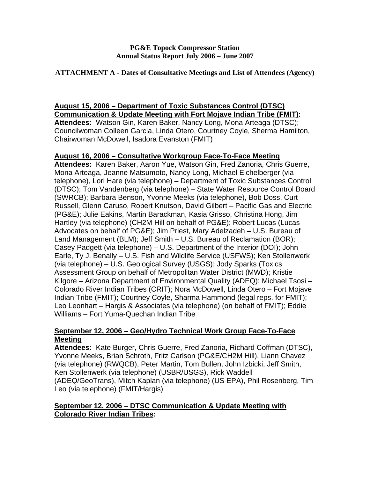#### **PG&E Topock Compressor Station Annual Status Report July 2006 – June 2007**

### **ATTACHMENT A - Dates of Consultative Meetings and List of Attendees (Agency)**

# **August 15, 2006 – Department of Toxic Substances Control (DTSC) Communication & Update Meeting with Fort Mojave Indian Tribe (FMIT):**

**Attendees:** Watson Gin, Karen Baker, Nancy Long, Mona Arteaga (DTSC); Councilwoman Colleen Garcia, Linda Otero, Courtney Coyle, Sherma Hamilton, Chairwoman McDowell, Isadora Evanston (FMIT)

### **August 16, 2006 – Consultative Workgroup Face-To-Face Meeting**

**Attendees:** Karen Baker, Aaron Yue, Watson Gin, Fred Zanoria, Chris Guerre, Mona Arteaga, Jeanne Matsumoto, Nancy Long, Michael Eichelberger (via telephone), Lori Hare (via telephone) – Department of Toxic Substances Control (DTSC); Tom Vandenberg (via telephone) – State Water Resource Control Board (SWRCB); Barbara Benson, Yvonne Meeks (via telephone), Bob Doss, Curt Russell, Glenn Caruso, Robert Knutson, David Gilbert – Pacific Gas and Electric (PG&E); Julie Eakins, Martin Barackman, Kasia Grisso, Christina Hong, Jim Hartley (via telephone) (CH2M Hill on behalf of PG&E); Robert Lucas (Lucas Advocates on behalf of PG&E); Jim Priest, Mary Adelzadeh – U.S. Bureau of Land Management (BLM); Jeff Smith – U.S. Bureau of Reclamation (BOR); Casey Padgett (via telephone) – U.S. Department of the Interior (DOI); John Earle, Ty J. Benally – U.S. Fish and Wildlife Service (USFWS); Ken Stollenwerk (via telephone) – U.S. Geological Survey (USGS); Jody Sparks (Toxics Assessment Group on behalf of Metropolitan Water District (MWD); Kristie Kilgore – Arizona Department of Environmental Quality (ADEQ); Michael Tsosi – Colorado River Indian Tribes (CRIT); Nora McDowell, Linda Otero – Fort Mojave Indian Tribe (FMIT); Courtney Coyle, Sharma Hammond (legal reps. for FMIT); Leo Leonhart – Hargis & Associates (via telephone) (on behalf of FMIT); Eddie Williams – Fort Yuma-Quechan Indian Tribe

### **September 12, 2006 – Geo/Hydro Technical Work Group Face-To-Face Meeting**

**Attendees:** Kate Burger, Chris Guerre, Fred Zanoria, Richard Coffman (DTSC), Yvonne Meeks, Brian Schroth, Fritz Carlson (PG&E/CH2M Hill), Liann Chavez (via telephone) (RWQCB), Peter Martin, Tom Bullen, John Izbicki, Jeff Smith, Ken Stollenwerk (via telephone) (USBR/USGS), Rick Waddell (ADEQ/GeoTrans), Mitch Kaplan (via telephone) (US EPA), Phil Rosenberg, Tim Leo (via telephone) (FMIT/Hargis)

### **September 12, 2006 – DTSC Communication & Update Meeting with Colorado River Indian Tribes:**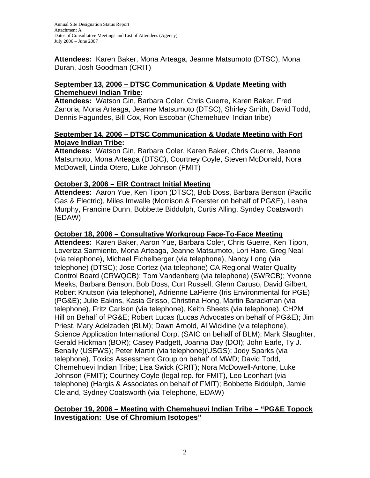**Attendees:** Karen Baker, Mona Arteaga, Jeanne Matsumoto (DTSC), Mona Duran, Josh Goodman (CRIT)

### **September 13, 2006 – DTSC Communication & Update Meeting with Chemehuevi Indian Tribe:**

**Attendees:** Watson Gin, Barbara Coler, Chris Guerre, Karen Baker, Fred Zanoria, Mona Arteaga, Jeanne Matsumoto (DTSC), Shirley Smith, David Todd, Dennis Fagundes, Bill Cox, Ron Escobar (Chemehuevi Indian tribe)

### **September 14, 2006 – DTSC Communication & Update Meeting with Fort Mojave Indian Tribe:**

**Attendees:** Watson Gin, Barbara Coler, Karen Baker, Chris Guerre, Jeanne Matsumoto, Mona Arteaga (DTSC), Courtney Coyle, Steven McDonald, Nora McDowell, Linda Otero, Luke Johnson (FMIT)

# **October 3, 2006 – EIR Contract Initial Meeting**

**Attendees:** Aaron Yue, Ken Tipon (DTSC), Bob Doss, Barbara Benson (Pacific Gas & Electric), Miles Imwalle (Morrison & Foerster on behalf of PG&E), Leaha Murphy, Francine Dunn, Bobbette Biddulph, Curtis Alling, Syndey Coatsworth (EDAW)

### **October 18, 2006 – Consultative Workgroup Face-To-Face Meeting**

**Attendees:** Karen Baker, Aaron Yue, Barbara Coler, Chris Guerre, Ken Tipon, Loveriza Sarmiento, Mona Arteaga, Jeanne Matsumoto, Lori Hare, Greg Neal (via telephone), Michael Eichelberger (via telephone), Nancy Long (via telephone) (DTSC); Jose Cortez (via telephone) CA Regional Water Quality Control Board (CRWQCB); Tom Vandenberg (via telephone) (SWRCB); Yvonne Meeks, Barbara Benson, Bob Doss, Curt Russell, Glenn Caruso, David Gilbert, Robert Knutson (via telephone), Adrienne LaPierre (Iris Environmental for PGE) (PG&E); Julie Eakins, Kasia Grisso, Christina Hong, Martin Barackman (via telephone), Fritz Carlson (via telephone), Keith Sheets (via telephone), CH2M Hill on Behalf of PG&E; Robert Lucas (Lucas Advocates on behalf of PG&E); Jim Priest, Mary Adelzadeh (BLM); Dawn Arnold, Al Wickline (via telephone), Science Application International Corp. (SAIC on behalf of BLM); Mark Slaughter, Gerald Hickman (BOR); Casey Padgett, Joanna Day (DOI); John Earle, Ty J. Benally (USFWS); Peter Martin (via telephone)(USGS); Jody Sparks (via telephone), Toxics Assessment Group on behalf of MWD; David Todd, Chemehuevi Indian Tribe; Lisa Swick (CRIT); Nora McDowell-Antone, Luke Johnson (FMIT); Courtney Coyle (legal rep. for FMIT), Leo Leonhart (via telephone) (Hargis & Associates on behalf of FMIT); Bobbette Biddulph, Jamie Cleland, Sydney Coatsworth (via Telephone, EDAW)

### **October 19, 2006 – Meeting with Chemehuevi Indian Tribe – "PG&E Topock Investigation: Use of Chromium Isotopes"**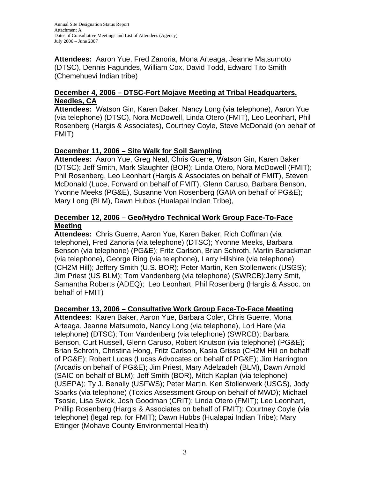**Attendees:** Aaron Yue, Fred Zanoria, Mona Arteaga, Jeanne Matsumoto (DTSC), Dennis Fagundes, William Cox, David Todd, Edward Tito Smith (Chemehuevi Indian tribe)

### **December 4, 2006 – DTSC-Fort Mojave Meeting at Tribal Headquarters, Needles, CA**

**Attendees:** Watson Gin, Karen Baker, Nancy Long (via telephone), Aaron Yue (via telephone) (DTSC), Nora McDowell, Linda Otero (FMIT), Leo Leonhart, Phil Rosenberg (Hargis & Associates), Courtney Coyle, Steve McDonald (on behalf of FMIT)

### **December 11, 2006 – Site Walk for Soil Sampling**

**Attendees:** Aaron Yue, Greg Neal, Chris Guerre, Watson Gin, Karen Baker (DTSC); Jeff Smith, Mark Slaughter (BOR); Linda Otero, Nora McDowell (FMIT); Phil Rosenberg, Leo Leonhart (Hargis & Associates on behalf of FMIT), Steven McDonald (Luce, Forward on behalf of FMIT), Glenn Caruso, Barbara Benson, Yvonne Meeks (PG&E), Susanne Von Rosenberg (GAIA on behalf of PG&E); Mary Long (BLM), Dawn Hubbs (Hualapai Indian Tribe),

### **December 12, 2006 – Geo/Hydro Technical Work Group Face-To-Face Meeting**

**Attendees:** Chris Guerre, Aaron Yue, Karen Baker, Rich Coffman (via telephone), Fred Zanoria (via telephone) (DTSC); Yvonne Meeks, Barbara Benson (via telephone) (PG&E); Fritz Carlson, Brian Schroth, Martin Barackman (via telephone), George Ring (via telephone), Larry Hilshire (via telephone) (CH2M Hill); Jeffery Smith (U.S. BOR); Peter Martin, Ken Stollenwerk (USGS); Jim Priest (US BLM); Tom Vandenberg (via telephone) (SWRCB);Jerry Smit, Samantha Roberts (ADEQ); Leo Leonhart, Phil Rosenberg (Hargis & Assoc. on behalf of FMIT)

### **December 13, 2006 – Consultative Work Group Face-To-Face Meeting**

**Attendees:** Karen Baker, Aaron Yue, Barbara Coler, Chris Guerre, Mona Arteaga, Jeanne Matsumoto, Nancy Long (via telephone), Lori Hare (via telephone) (DTSC); Tom Vandenberg (via telephone) (SWRCB); Barbara Benson, Curt Russell, Glenn Caruso, Robert Knutson (via telephone) (PG&E); Brian Schroth, Christina Hong, Fritz Carlson, Kasia Grisso (CH2M Hill on behalf of PG&E); Robert Lucas (Lucas Advocates on behalf of PG&E); Jim Harrington (Arcadis on behalf of PG&E); Jim Priest, Mary Adelzadeh (BLM), Dawn Arnold (SAIC on behalf of BLM); Jeff Smith (BOR), Mitch Kaplan (via telephone) (USEPA); Ty J. Benally (USFWS); Peter Martin, Ken Stollenwerk (USGS), Jody Sparks (via telephone) (Toxics Assessment Group on behalf of MWD); Michael Tsosie, Lisa Swick, Josh Goodman (CRIT); Linda Otero (FMIT); Leo Leonhart, Phillip Rosenberg (Hargis & Associates on behalf of FMIT); Courtney Coyle (via telephone) (legal rep. for FMIT); Dawn Hubbs (Hualapai Indian Tribe); Mary Ettinger (Mohave County Environmental Health)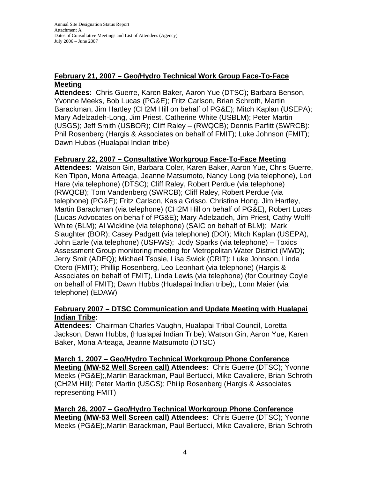### **February 21, 2007 – Geo/Hydro Technical Work Group Face-To-Face Meeting**

**Attendees:** Chris Guerre, Karen Baker, Aaron Yue (DTSC); Barbara Benson, Yvonne Meeks, Bob Lucas (PG&E); Fritz Carlson, Brian Schroth, Martin Barackman, Jim Hartley (CH2M Hill on behalf of PG&E); Mitch Kaplan (USEPA); Mary Adelzadeh-Long, Jim Priest, Catherine White (USBLM); Peter Martin (USGS); Jeff Smith (USBOR); Cliff Raley – (RWQCB); Dennis Parfitt (SWRCB): Phil Rosenberg (Hargis & Associates on behalf of FMIT); Luke Johnson (FMIT); Dawn Hubbs (Hualapai Indian tribe)

### **February 22, 2007 – Consultative Workgroup Face-To-Face Meeting**

**Attendees:** Watson Gin, Barbara Coler, Karen Baker, Aaron Yue, Chris Guerre, Ken Tipon, Mona Arteaga, Jeanne Matsumoto, Nancy Long (via telephone), Lori Hare (via telephone) (DTSC); Cliff Raley, Robert Perdue (via telephone) (RWQCB); Tom Vandenberg (SWRCB); Cliff Raley, Robert Perdue (via telephone) (PG&E); Fritz Carlson, Kasia Grisso, Christina Hong, Jim Hartley, Martin Barackman (via telephone) (CH2M Hill on behalf of PG&E), Robert Lucas (Lucas Advocates on behalf of PG&E); Mary Adelzadeh, Jim Priest, Cathy Wolff-White (BLM); Al Wickline (via telephone) (SAIC on behalf of BLM); Mark Slaughter (BOR); Casey Padgett (via telephone) (DOI); Mitch Kaplan (USEPA), John Earle (via telephone) (USFWS); Jody Sparks (via telephone) – Toxics Assessment Group monitoring meeting for Metropolitan Water District (MWD); Jerry Smit (ADEQ); Michael Tsosie, Lisa Swick (CRIT); Luke Johnson, Linda Otero (FMIT); Phillip Rosenberg, Leo Leonhart (via telephone) (Hargis & Associates on behalf of FMIT), Linda Lewis (via telephone) (for Courtney Coyle on behalf of FMIT); Dawn Hubbs (Hualapai Indian tribe);, Lonn Maier (via telephone) (EDAW)

### **February 2007 – DTSC Communication and Update Meeting with Hualapai Indian Tribe:**

**Attendees:** Chairman Charles Vaughn, Hualapai Tribal Council, Loretta Jackson, Dawn Hubbs, (Hualapai Indian Tribe); Watson Gin, Aaron Yue, Karen Baker, Mona Arteaga, Jeanne Matsumoto (DTSC)

**March 1, 2007 – Geo/Hydro Technical Workgroup Phone Conference Meeting (MW-52 Well Screen call) Attendees:** Chris Guerre (DTSC); Yvonne Meeks (PG&E);,Martin Barackman, Paul Bertucci, Mike Cavaliere, Brian Schroth (CH2M Hill); Peter Martin (USGS); Philip Rosenberg (Hargis & Associates representing FMIT)

**March 26, 2007 – Geo/Hydro Technical Workgroup Phone Conference Meeting (MW-53 Well Screen call) Attendees:** Chris Guerre (DTSC); Yvonne Meeks (PG&E);,Martin Barackman, Paul Bertucci, Mike Cavaliere, Brian Schroth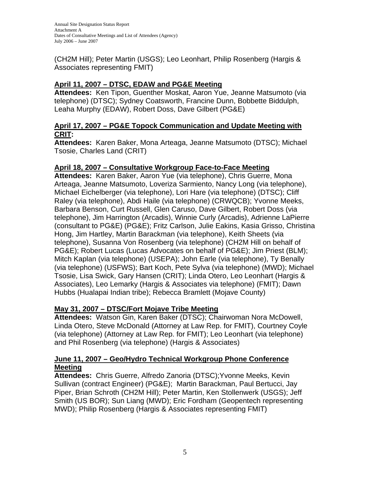(CH2M Hill); Peter Martin (USGS); Leo Leonhart, Philip Rosenberg (Hargis & Associates representing FMIT)

### **April 11, 2007 – DTSC, EDAW and PG&E Meeting**

**Attendees:** Ken Tipon, Guenther Moskat, Aaron Yue, Jeanne Matsumoto (via telephone) (DTSC); Sydney Coatsworth, Francine Dunn, Bobbette Biddulph, Leaha Murphy (EDAW), Robert Doss, Dave Gilbert (PG&E)

### **April 17, 2007 – PG&E Topock Communication and Update Meeting with CRIT:**

**Attendees:** Karen Baker, Mona Arteaga, Jeanne Matsumoto (DTSC); Michael Tsosie, Charles Land (CRIT)

# **April 18, 2007 – Consultative Workgroup Face-to-Face Meeting**

**Attendees:** Karen Baker, Aaron Yue (via telephone), Chris Guerre, Mona Arteaga, Jeanne Matsumoto, Loveriza Sarmiento, Nancy Long (via telephone), Michael Eichelberger (via telephone), Lori Hare (via telephone) (DTSC); Cliff Raley (via telephone), Abdi Haile (via telephone) (CRWQCB); Yvonne Meeks, Barbara Benson, Curt Russell, Glen Caruso, Dave Gilbert, Robert Doss (via telephone), Jim Harrington (Arcadis), Winnie Curly (Arcadis), Adrienne LaPierre (consultant to PG&E) (PG&E); Fritz Carlson, Julie Eakins, Kasia Grisso, Christina Hong, Jim Hartley, Martin Barackman (via telephone), Keith Sheets (via telephone), Susanna Von Rosenberg (via telephone) (CH2M Hill on behalf of PG&E); Robert Lucas (Lucas Advocates on behalf of PG&E); Jim Priest (BLM); Mitch Kaplan (via telephone) (USEPA); John Earle (via telephone), Ty Benally (via telephone) (USFWS); Bart Koch, Pete Sylva (via telephone) (MWD); Michael Tsosie, Lisa Swick, Gary Hansen (CRIT); Linda Otero, Leo Leonhart (Hargis & Associates), Leo Lemarky (Hargis & Associates via telephone) (FMIT); Dawn Hubbs (Hualapai Indian tribe); Rebecca Bramlett (Mojave County)

# **May 31, 2007 – DTSC/Fort Mojave Tribe Meeting**

**Attendees:** Watson Gin, Karen Baker (DTSC); Chairwoman Nora McDowell, Linda Otero, Steve McDonald (Attorney at Law Rep. for FMIT), Courtney Coyle (via telephone) (Attorney at Law Rep. for FMIT); Leo Leonhart (via telephone) and Phil Rosenberg (via telephone) (Hargis & Associates)

### **June 11, 2007 – Geo/Hydro Technical Workgroup Phone Conference Meeting**

**Attendees:** Chris Guerre, Alfredo Zanoria (DTSC);Yvonne Meeks, Kevin Sullivan (contract Engineer) (PG&E); Martin Barackman, Paul Bertucci, Jay Piper, Brian Schroth (CH2M Hill); Peter Martin, Ken Stollenwerk (USGS); Jeff Smith (US BOR); Sun Liang (MWD); Eric Fordham (Geopentech representing MWD); Philip Rosenberg (Hargis & Associates representing FMIT)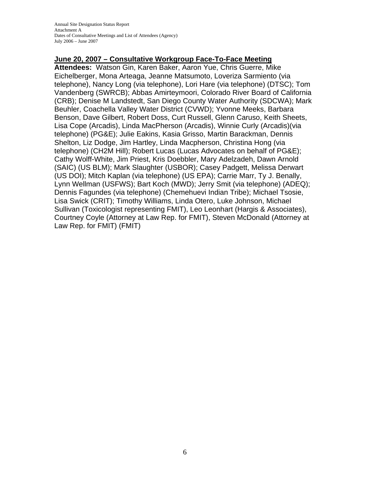### **June 20, 2007 – Consultative Workgroup Face-To-Face Meeting**

**Attendees:** Watson Gin, Karen Baker, Aaron Yue, Chris Guerre, Mike Eichelberger, Mona Arteaga, Jeanne Matsumoto, Loveriza Sarmiento (via telephone), Nancy Long (via telephone), Lori Hare (via telephone) (DTSC); Tom Vandenberg (SWRCB); Abbas Amirteymoori, Colorado River Board of California (CRB); Denise M Landstedt, San Diego County Water Authority (SDCWA); Mark Beuhler, Coachella Valley Water District (CVWD); Yvonne Meeks, Barbara Benson, Dave Gilbert, Robert Doss, Curt Russell, Glenn Caruso, Keith Sheets, Lisa Cope (Arcadis), Linda MacPherson (Arcadis), Winnie Curly (Arcadis)(via telephone) (PG&E); Julie Eakins, Kasia Grisso, Martin Barackman, Dennis Shelton, Liz Dodge, Jim Hartley, Linda Macpherson, Christina Hong (via telephone) (CH2M Hill); Robert Lucas (Lucas Advocates on behalf of PG&E); Cathy Wolff-White, Jim Priest, Kris Doebbler, Mary Adelzadeh, Dawn Arnold (SAIC) (US BLM); Mark Slaughter (USBOR); Casey Padgett, Melissa Derwart (US DOI); Mitch Kaplan (via telephone) (US EPA); Carrie Marr, Ty J. Benally, Lynn Wellman (USFWS); Bart Koch (MWD); Jerry Smit (via telephone) (ADEQ); Dennis Fagundes (via telephone) (Chemehuevi Indian Tribe); Michael Tsosie, Lisa Swick (CRIT); Timothy Williams, Linda Otero, Luke Johnson, Michael Sullivan (Toxicologist representing FMIT), Leo Leonhart (Hargis & Associates), Courtney Coyle (Attorney at Law Rep. for FMIT), Steven McDonald (Attorney at Law Rep. for FMIT) (FMIT)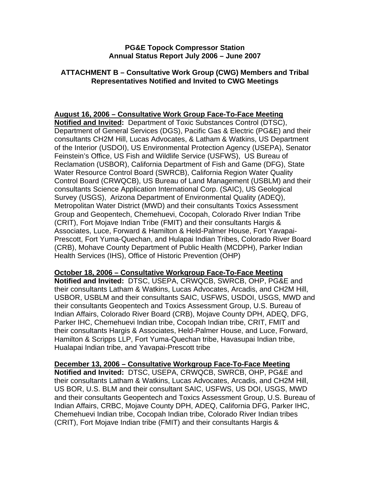#### **PG&E Topock Compressor Station Annual Status Report July 2006 – June 2007**

#### **ATTACHMENT B – Consultative Work Group (CWG) Members and Tribal Representatives Notified and Invited to CWG Meetings**

### **August 16, 2006 – Consultative Work Group Face-To-Face Meeting**

**Notified and Invited:** Department of Toxic Substances Control (DTSC), Department of General Services (DGS), Pacific Gas & Electric (PG&E) and their consultants CH2M Hill, Lucas Advocates, & Latham & Watkins, US Department of the Interior (USDOI), US Environmental Protection Agency (USEPA), Senator Feinstein's Office, US Fish and Wildlife Service (USFWS), US Bureau of Reclamation (USBOR), California Department of Fish and Game (DFG), State Water Resource Control Board (SWRCB), California Region Water Quality Control Board (CRWQCB), US Bureau of Land Management (USBLM) and their consultants Science Application International Corp. (SAIC), US Geological Survey (USGS), Arizona Department of Environmental Quality (ADEQ), Metropolitan Water District (MWD) and their consultants Toxics Assessment Group and Geopentech, Chemehuevi, Cocopah, Colorado River Indian Tribe (CRIT), Fort Mojave Indian Tribe (FMIT) and their consultants Hargis & Associates, Luce, Forward & Hamilton & Held-Palmer House, Fort Yavapai-Prescott, Fort Yuma-Quechan, and Hulapai Indian Tribes, Colorado River Board (CRB), Mohave County Department of Public Health (MCDPH), Parker Indian Health Services (IHS), Office of Historic Prevention (OHP)

**October 18, 2006 – Consultative Workgroup Face-To-Face Meeting**

**Notified and Invited:** DTSC, USEPA, CRWQCB, SWRCB, OHP, PG&E and their consultants Latham & Watkins, Lucas Advocates, Arcadis, and CH2M Hill, USBOR, USBLM and their consultants SAIC, USFWS, USDOI, USGS, MWD and their consultants Geopentech and Toxics Assessment Group, U.S. Bureau of Indian Affairs, Colorado River Board (CRB), Mojave County DPH, ADEQ, DFG, Parker IHC, Chemehuevi Indian tribe, Cocopah Indian tribe, CRIT, FMIT and their consultants Hargis & Associates, Held-Palmer House, and Luce, Forward, Hamilton & Scripps LLP, Fort Yuma-Quechan tribe, Havasupai Indian tribe, Hualapai Indian tribe, and Yavapai-Prescott tribe

**December 13, 2006 – Consultative Workgroup Face-To-Face Meeting Notified and Invited:** DTSC, USEPA, CRWQCB, SWRCB, OHP, PG&E and their consultants Latham & Watkins, Lucas Advocates, Arcadis, and CH2M Hill, US BOR, U.S. BLM and their consultant SAIC, USFWS, US DOI, USGS, MWD and their consultants Geopentech and Toxics Assessment Group, U.S. Bureau of Indian Affairs, CRBC, Mojave County DPH, ADEQ, California DFG, Parker IHC, Chemehuevi Indian tribe, Cocopah Indian tribe, Colorado River Indian tribes (CRIT), Fort Mojave Indian tribe (FMIT) and their consultants Hargis &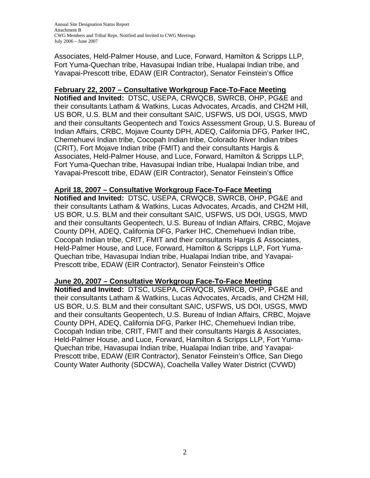Associates, Held-Palmer House, and Luce, Forward, Hamilton & Scripps LLP, Fort Yuma-Quechan tribe, Havasupai Indian tribe, Hualapai Indian tribe, and Yavapai-Prescott tribe, EDAW (EIR Contractor), Senator Feinstein's Office

#### **February 22, 2007 – Consultative Workgroup Face-To-Face Meeting**

**Notified and Invited:** DTSC, USEPA, CRWQCB, SWRCB, OHP, PG&E and their consultants Latham & Watkins, Lucas Advocates, Arcadis, and CH2M Hill, US BOR, U.S. BLM and their consultant SAIC, USFWS, US DOI, USGS, MWD and their consultants Geopentech and Toxics Assessment Group, U.S. Bureau of Indian Affairs, CRBC, Mojave County DPH, ADEQ, California DFG, Parker IHC, Chemehuevi Indian tribe, Cocopah Indian tribe, Colorado River Indian tribes (CRIT), Fort Mojave Indian tribe (FMIT) and their consultants Hargis & Associates, Held-Palmer House, and Luce, Forward, Hamilton & Scripps LLP, Fort Yuma-Quechan tribe, Havasupai Indian tribe, Hualapai Indian tribe, and Yavapai-Prescott tribe, EDAW (EIR Contractor), Senator Feinstein's Office

### **April 18, 2007 – Consultative Workgroup Face-To-Face Meeting**

**Notified and Invited:** DTSC, USEPA, CRWQCB, SWRCB, OHP, PG&E and their consultants Latham & Watkins, Lucas Advocates, Arcadis, and CH2M Hill, US BOR, U.S. BLM and their consultant SAIC, USFWS, US DOI, USGS, MWD and their consultants Geopentech, U.S. Bureau of Indian Affairs, CRBC, Mojave County DPH, ADEQ, California DFG, Parker IHC, Chemehuevi Indian tribe, Cocopah Indian tribe, CRIT, FMIT and their consultants Hargis & Associates, Held-Palmer House, and Luce, Forward, Hamilton & Scripps LLP, Fort Yuma-Quechan tribe, Havasupai Indian tribe, Hualapai Indian tribe, and Yavapai-Prescott tribe, EDAW (EIR Contractor), Senator Feinstein's Office

### **June 20, 2007 – Consultative Workgroup Face-To-Face Meeting**

**Notified and Invited:** DTSC, USEPA, CRWQCB, SWRCB, OHP, PG&E and their consultants Latham & Watkins, Lucas Advocates, Arcadis, and CH2M Hill, US BOR, U.S. BLM and their consultant SAIC, USFWS, US DOI, USGS, MWD and their consultants Geopentech, U.S. Bureau of Indian Affairs, CRBC, Mojave County DPH, ADEQ, California DFG, Parker IHC, Chemehuevi Indian tribe, Cocopah Indian tribe, CRIT, FMIT and their consultants Hargis & Associates, Held-Palmer House, and Luce, Forward, Hamilton & Scripps LLP, Fort Yuma-Quechan tribe, Havasupai Indian tribe, Hualapai Indian tribe, and Yavapai-Prescott tribe, EDAW (EIR Contractor), Senator Feinstein's Office, San Diego County Water Authority (SDCWA), Coachella Valley Water District (CVWD)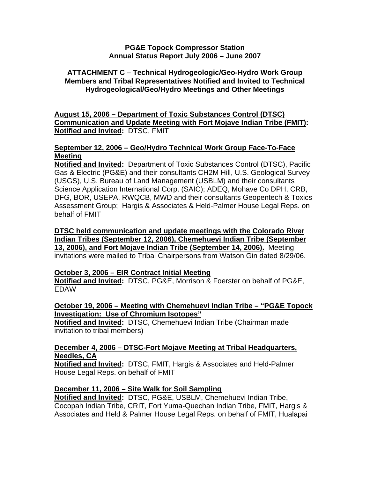#### **PG&E Topock Compressor Station Annual Status Report July 2006 – June 2007**

**ATTACHMENT C – Technical Hydrogeologic/Geo-Hydro Work Group Members and Tribal Representatives Notified and Invited to Technical Hydrogeological/Geo/Hydro Meetings and Other Meetings** 

**August 15, 2006 – Department of Toxic Substances Control (DTSC) Communication and Update Meeting with Fort Mojave Indian Tribe (FMIT): Notified and Invited:** DTSC, FMIT

### **September 12, 2006 – Geo/Hydro Technical Work Group Face-To-Face Meeting**

**Notified and Invited:** Department of Toxic Substances Control (DTSC), Pacific Gas & Electric (PG&E) and their consultants CH2M Hill, U.S. Geological Survey (USGS), U.S. Bureau of Land Management (USBLM) and their consultants Science Application International Corp. (SAIC); ADEQ, Mohave Co DPH, CRB, DFG, BOR, USEPA, RWQCB, MWD and their consultants Geopentech & Toxics Assessment Group; Hargis & Associates & Held-Palmer House Legal Reps. on behalf of FMIT

**DTSC held communication and update meetings with the Colorado River Indian Tribes (September 12, 2006), Chemehuevi Indian Tribe (September 13, 2006), and Fort Mojave Indian Tribe (September 14, 2006).** Meeting invitations were mailed to Tribal Chairpersons from Watson Gin dated 8/29/06.

### **October 3, 2006 – EIR Contract Initial Meeting**

**Notified and Invited:** DTSC, PG&E, Morrison & Foerster on behalf of PG&E, EDAW

### **October 19, 2006 – Meeting with Chemehuevi Indian Tribe – "PG&E Topock Investigation: Use of Chromium Isotopes"**

**Notified and Invited:** DTSC, Chemehuevi Indian Tribe (Chairman made invitation to tribal members)

### **December 4, 2006 – DTSC-Fort Mojave Meeting at Tribal Headquarters, Needles, CA**

**Notified and Invited:** DTSC, FMIT, Hargis & Associates and Held-Palmer House Legal Reps. on behalf of FMIT

### **December 11, 2006 – Site Walk for Soil Sampling**

**Notified and Invited:** DTSC, PG&E, USBLM, Chemehuevi Indian Tribe, Cocopah Indian Tribe, CRIT, Fort Yuma-Quechan Indian Tribe, FMIT, Hargis & Associates and Held & Palmer House Legal Reps. on behalf of FMIT, Hualapai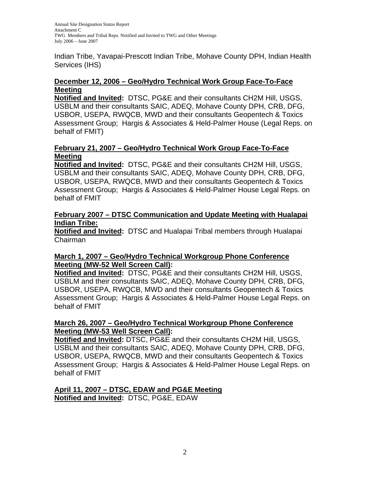Indian Tribe, Yavapai-Prescott Indian Tribe, Mohave County DPH, Indian Health Services (IHS)

### **December 12, 2006 – Geo/Hydro Technical Work Group Face-To-Face Meeting**

**Notified and Invited:** DTSC, PG&E and their consultants CH2M Hill, USGS, USBLM and their consultants SAIC, ADEQ, Mohave County DPH, CRB, DFG, USBOR, USEPA, RWQCB, MWD and their consultants Geopentech & Toxics Assessment Group; Hargis & Associates & Held-Palmer House (Legal Reps. on behalf of FMIT)

### **February 21, 2007 – Geo/Hydro Technical Work Group Face-To-Face Meeting**

**Notified and Invited:** DTSC, PG&E and their consultants CH2M Hill, USGS, USBLM and their consultants SAIC, ADEQ, Mohave County DPH, CRB, DFG, USBOR, USEPA, RWQCB, MWD and their consultants Geopentech & Toxics Assessment Group; Hargis & Associates & Held-Palmer House Legal Reps. on behalf of FMIT

### **February 2007 – DTSC Communication and Update Meeting with Hualapai Indian Tribe:**

**Notified and Invited:** DTSC and Hualapai Tribal members through Hualapai Chairman

### **March 1, 2007 – Geo/Hydro Technical Workgroup Phone Conference Meeting (MW-52 Well Screen Call):**

**Notified and Invited:** DTSC, PG&E and their consultants CH2M Hill, USGS, USBLM and their consultants SAIC, ADEQ, Mohave County DPH, CRB, DFG, USBOR, USEPA, RWQCB, MWD and their consultants Geopentech & Toxics Assessment Group; Hargis & Associates & Held-Palmer House Legal Reps. on behalf of FMIT

### **March 26, 2007 – Geo/Hydro Technical Workgroup Phone Conference Meeting (MW-53 Well Screen Call):**

**Notified and Invited:** DTSC, PG&E and their consultants CH2M Hill, USGS, USBLM and their consultants SAIC, ADEQ, Mohave County DPH, CRB, DFG, USBOR, USEPA, RWQCB, MWD and their consultants Geopentech & Toxics Assessment Group; Hargis & Associates & Held-Palmer House Legal Reps. on behalf of FMIT

**April 11, 2007 – DTSC, EDAW and PG&E Meeting Notified and Invited:** DTSC, PG&E, EDAW